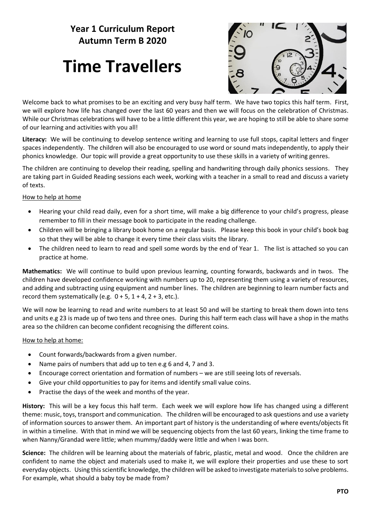### **Year 1 Curriculum Report Autumn Term B 2020**

## **Time Travellers**



Welcome back to what promises to be an exciting and very busy half term. We have two topics this half term. First, we will explore how life has changed over the last 60 years and then we will focus on the celebration of Christmas. While our Christmas celebrations will have to be a little different this year, we are hoping to still be able to share some of our learning and activities with you all!

**Literacy:** We will be continuing to develop sentence writing and learning to use full stops, capital letters and finger spaces independently. The children will also be encouraged to use word or sound mats independently, to apply their phonics knowledge. Our topic will provide a great opportunity to use these skills in a variety of writing genres.

The children are continuing to develop their reading, spelling and handwriting through daily phonics sessions. They are taking part in Guided Reading sessions each week, working with a teacher in a small to read and discuss a variety of texts.

#### How to help at home

- Hearing your child read daily, even for a short time, will make a big difference to your child's progress, please remember to fill in their message book to participate in the reading challenge.
- Children will be bringing a library book home on a regular basis. Please keep this book in your child's book bag so that they will be able to change it every time their class visits the library.
- The children need to learn to read and spell some words by the end of Year 1. The list is attached so you can practice at home.

**Mathematics:** We will continue to build upon previous learning, counting forwards, backwards and in twos. The children have developed confidence working with numbers up to 20, representing them using a variety of resources, and adding and subtracting using equipment and number lines. The children are beginning to learn number facts and record them systematically (e.g.  $0 + 5$ ,  $1 + 4$ ,  $2 + 3$ , etc.).

We will now be learning to read and write numbers to at least 50 and will be starting to break them down into tens and units e.g 23 is made up of two tens and three ones. During this half term each class will have a shop in the maths area so the children can become confident recognising the different coins.

#### How to help at home:

- Count forwards/backwards from a given number.
- Name pairs of numbers that add up to ten e.g 6 and 4, 7 and 3.
- Encourage correct orientation and formation of numbers we are still seeing lots of reversals.
- Give your child opportunities to pay for items and identify small value coins.
- Practise the days of the week and months of the year.

**History:** This will be a key focus this half term. Each week we will explore how life has changed using a different theme: music, toys, transport and communication. The children will be encouraged to ask questions and use a variety of information sources to answer them. An important part of history is the understanding of where events/objects fit in within a timeline. With that in mind we will be sequencing objects from the last 60 years, linking the time frame to when Nanny/Grandad were little; when mummy/daddy were little and when I was born.

**Science:** The children will be learning about the materials of fabric, plastic, metal and wood. Once the children are confident to name the object and materials used to make it, we will explore their properties and use these to sort everyday objects. Using this scientific knowledge, the children will be asked to investigate materials to solve problems. For example, what should a baby toy be made from?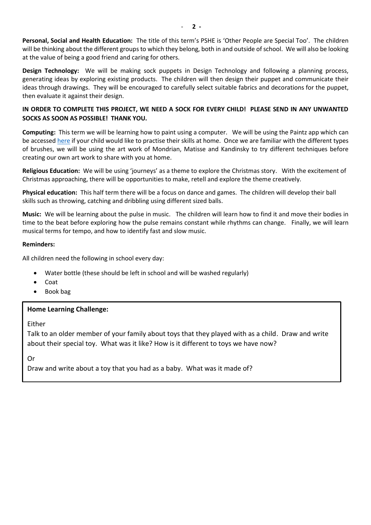**Personal, Social and Health Education:** The title of this term's PSHE is 'Other People are Special Too'. The children will be thinking about the different groups to which they belong, both in and outside of school. We will also be looking at the value of being a good friend and caring for others.

**Design Technology:** We will be making sock puppets in Design Technology and following a planning process, generating ideas by exploring existing products. The children will then design their puppet and communicate their ideas through drawings. They will be encouraged to carefully select suitable fabrics and decorations for the puppet, then evaluate it against their design.

#### **IN ORDER TO COMPLETE THIS PROJECT, WE NEED A SOCK FOR EVERY CHILD! PLEASE SEND IN ANY UNWANTED SOCKS AS SOON AS POSSIBLE! THANK YOU.**

**Computing:** This term we will be learning how to paint using a computer. We will be using the Paintz app which can be accessed [here](https://paintz.app/) if your child would like to practise their skills at home. Once we are familiar with the different types of brushes, we will be using the art work of Mondrian, Matisse and Kandinsky to try different techniques before creating our own art work to share with you at home.

**Religious Education:** We will be using 'journeys' as a theme to explore the Christmas story. With the excitement of Christmas approaching, there will be opportunities to make, retell and explore the theme creatively.

**Physical education:** This half term there will be a focus on dance and games. The children will develop their ball skills such as throwing, catching and dribbling using different sized balls.

**Music:** We will be learning about the pulse in music. The children will learn how to find it and move their bodies in time to the beat before exploring how the pulse remains constant while rhythms can change. Finally, we will learn musical terms for tempo, and how to identify fast and slow music.

#### **Reminders:**

All children need the following in school every day:

- Water bottle (these should be left in school and will be washed regularly)
- Coat
- Book bag

#### **Home Learning Challenge:**

Either

Talk to an older member of your family about toys that they played with as a child. Draw and write about their special toy. What was it like? How is it different to toys we have now?

Or

Draw and write about a toy that you had as a baby. What was it made of?